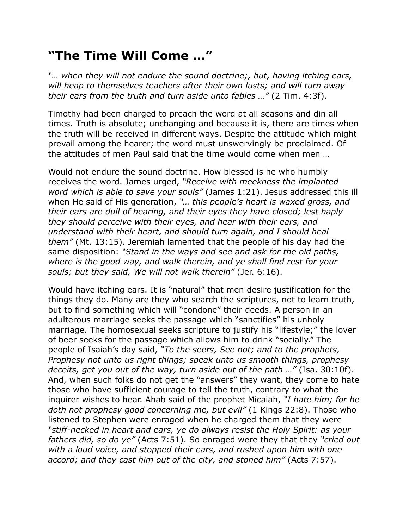## **"The Time Will Come …"**

*"… when they will not endure the sound doctrine;, but, having itching ears, will heap to themselves teachers after their own lusts; and will turn away their ears from the truth and turn aside unto fables …"* (2 Tim. 4:3f).

Timothy had been charged to preach the word at all seasons and din all times. Truth is absolute; unchanging and because it is, there are times when the truth will be received in different ways. Despite the attitude which might prevail among the hearer; the word must unswervingly be proclaimed. Of the attitudes of men Paul said that the time would come when men …

Would not endure the sound doctrine. How blessed is he who humbly receives the word. James urged, *"Receive with meekness the implanted word which is able to save your souls"* (James 1:21). Jesus addressed this ill when He said of His generation, *"… this people's heart is waxed gross, and their ears are dull of hearing, and their eyes they have closed; lest haply they should perceive with their eyes, and hear with their ears, and understand with their heart, and should turn again, and I should heal them"* (Mt. 13:15). Jeremiah lamented that the people of his day had the same disposition: *"Stand in the ways and see and ask for the old paths, where is the good way, and walk therein, and ye shall find rest for your souls; but they said, We will not walk therein"* (Jer. 6:16).

Would have itching ears. It is "natural" that men desire justification for the things they do. Many are they who search the scriptures, not to learn truth, but to find something which will "condone" their deeds. A person in an adulterous marriage seeks the passage which "sanctifies" his unholy marriage. The homosexual seeks scripture to justify his "lifestyle;" the lover of beer seeks for the passage which allows him to drink "socially." The people of Isaiah's day said, *"To the seers, See not; and to the prophets, Prophesy not unto us right things; speak unto us smooth things, prophesy deceits, get you out of the way, turn aside out of the path …"* (Isa. 30:10f). And, when such folks do not get the "answers" they want, they come to hate those who have sufficient courage to tell the truth, contrary to what the inquirer wishes to hear. Ahab said of the prophet Micaiah, *"I hate him; for he doth not prophesy good concerning me, but evil"* (1 Kings 22:8). Those who listened to Stephen were enraged when he charged them that they were *"stiff-necked in heart and ears, ye do always resist the Holy Spirit: as your fathers did, so do ye"* (Acts 7:51). So enraged were they that they *"cried out with a loud voice, and stopped their ears, and rushed upon him with one accord; and they cast him out of the city, and stoned him"* (Acts 7:57).